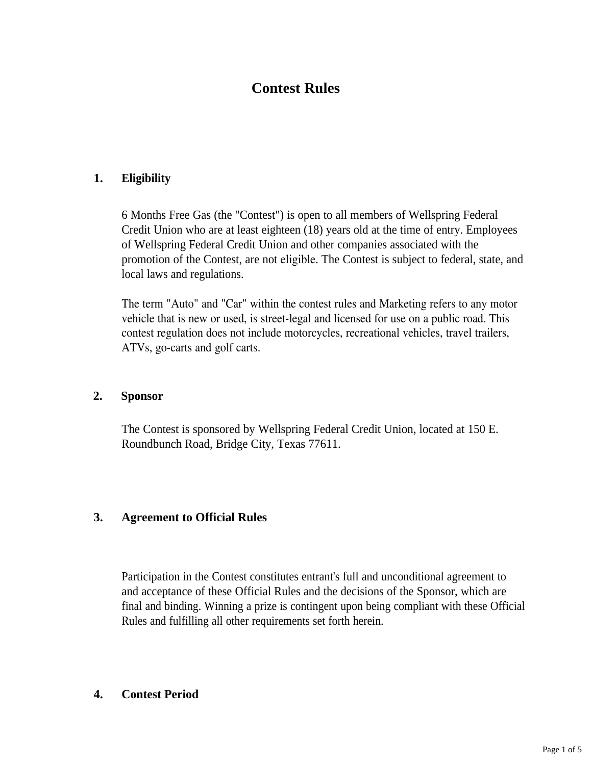# **Contest Rules**

# **1. Eligibility**

6 Months Free Gas (the "Contest") is open to all members of Wellspring Federal Credit Union who are at least eighteen (18) years old at the time of entry. Employees of Wellspring Federal Credit Union and other companies associated with the promotion of the Contest, are not eligible. The Contest is subject to federal, state, and local laws and regulations.

The term "Auto" and "Car" within the contest rules and Marketing refers to any motor vehicle that is new or used, is street-legal and licensed for use on a public road. This contest regulation does not include motorcycles, recreational vehicles, travel trailers, ATVs, go-carts and golf carts.

## **2. Sponsor**

The Contest is sponsored by Wellspring Federal Credit Union, located at 150 E. Roundbunch Road, Bridge City, Texas 77611.

## **3. Agreement to Official Rules**

Participation in the Contest constitutes entrant's full and unconditional agreement to and acceptance of these Official Rules and the decisions of the Sponsor, which are final and binding. Winning a prize is contingent upon being compliant with these Official Rules and fulfilling all other requirements set forth herein.

## **4. Contest Period**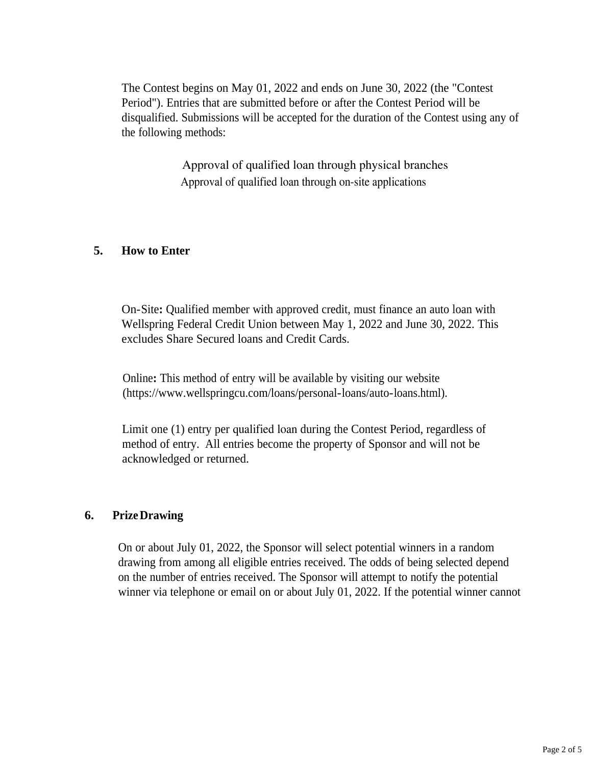The Contest begins on May 01, 2022 and ends on June 30, 2022 (the "Contest Period"). Entries that are submitted before or after the Contest Period will be disqualified. Submissions will be accepted for the duration of the Contest using any of the following methods:

> Approval of qualified loan through physical branches Approval of qualified loan through on-site applications

## **5. How to Enter**

On-Site**:** Qualified member with approved credit, must finance an auto loan with Wellspring Federal Credit Union between May 1, 2022 and June 30, 2022. This excludes Share Secured loans and Credit Cards.

Online**:** This method of entry will be available by visiting our website (https://www.wellspringcu.com/loans/personal-loans/auto-loans.html).

Limit one (1) entry per qualified loan during the Contest Period, regardless of method of entry. All entries become the property of Sponsor and will not be acknowledged or returned.

#### **6. PrizeDrawing**

On or about July 01, 2022, the Sponsor will select potential winners in a random drawing from among all eligible entries received. The odds of being selected depend on the number of entries received. The Sponsor will attempt to notify the potential winner via telephone or email on or about July 01, 2022. If the potential winner cannot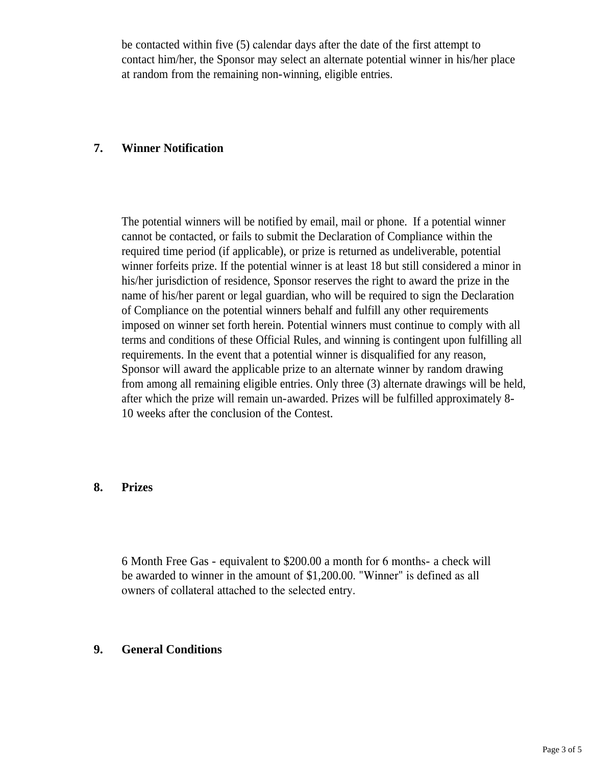be contacted within five (5) calendar days after the date of the first attempt to contact him/her, the Sponsor may select an alternate potential winner in his/her place at random from the remaining non-winning, eligible entries.

# **7. Winner Notification**

The potential winners will be notified by email, mail or phone. If a potential winner cannot be contacted, or fails to submit the Declaration of Compliance within the required time period (if applicable), or prize is returned as undeliverable, potential winner forfeits prize. If the potential winner is at least 18 but still considered a minor in his/her jurisdiction of residence, Sponsor reserves the right to award the prize in the name of his/her parent or legal guardian, who will be required to sign the Declaration of Compliance on the potential winners behalf and fulfill any other requirements imposed on winner set forth herein. Potential winners must continue to comply with all terms and conditions of these Official Rules, and winning is contingent upon fulfilling all requirements. In the event that a potential winner is disqualified for any reason, Sponsor will award the applicable prize to an alternate winner by random drawing from among all remaining eligible entries. Only three (3) alternate drawings will be held, after which the prize will remain un-awarded. Prizes will be fulfilled approximately 8- 10 weeks after the conclusion of the Contest.

## **8. Prizes**

6 Month Free Gas - equivalent to \$200.00 a month for 6 months- a check will be awarded to winner in the amount of \$1,200.00. "Winner" is defined as all owners of collateral attached to the selected entry.

#### **9. General Conditions**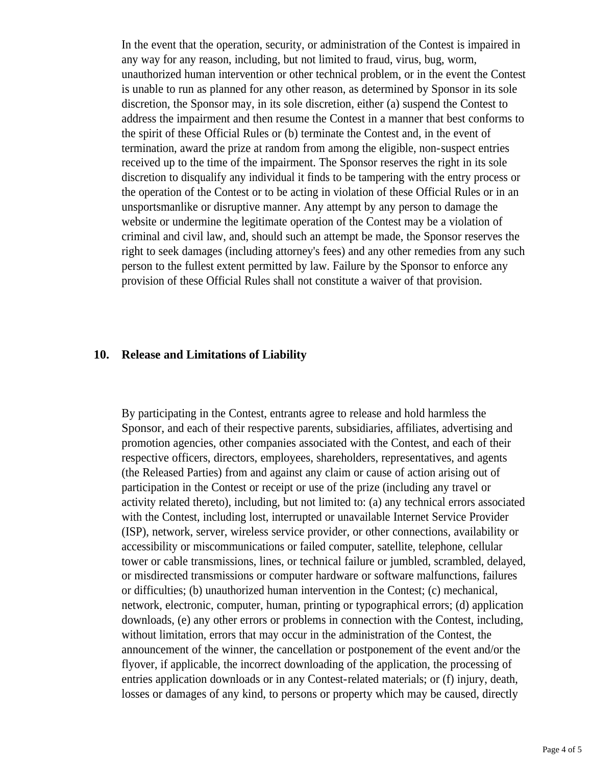In the event that the operation, security, or administration of the Contest is impaired in any way for any reason, including, but not limited to fraud, virus, bug, worm, unauthorized human intervention or other technical problem, or in the event the Contest is unable to run as planned for any other reason, as determined by Sponsor in its sole discretion, the Sponsor may, in its sole discretion, either (a) suspend the Contest to address the impairment and then resume the Contest in a manner that best conforms to the spirit of these Official Rules or (b) terminate the Contest and, in the event of termination, award the prize at random from among the eligible, non-suspect entries received up to the time of the impairment. The Sponsor reserves the right in its sole discretion to disqualify any individual it finds to be tampering with the entry process or the operation of the Contest or to be acting in violation of these Official Rules or in an unsportsmanlike or disruptive manner. Any attempt by any person to damage the website or undermine the legitimate operation of the Contest may be a violation of criminal and civil law, and, should such an attempt be made, the Sponsor reserves the right to seek damages (including attorney's fees) and any other remedies from any such person to the fullest extent permitted by law. Failure by the Sponsor to enforce any provision of these Official Rules shall not constitute a waiver of that provision.

#### **10. Release and Limitations of Liability**

By participating in the Contest, entrants agree to release and hold harmless the Sponsor, and each of their respective parents, subsidiaries, affiliates, advertising and promotion agencies, other companies associated with the Contest, and each of their respective officers, directors, employees, shareholders, representatives, and agents (the Released Parties) from and against any claim or cause of action arising out of participation in the Contest or receipt or use of the prize (including any travel or activity related thereto), including, but not limited to: (a) any technical errors associated with the Contest, including lost, interrupted or unavailable Internet Service Provider (ISP), network, server, wireless service provider, or other connections, availability or accessibility or miscommunications or failed computer, satellite, telephone, cellular tower or cable transmissions, lines, or technical failure or jumbled, scrambled, delayed, or misdirected transmissions or computer hardware or software malfunctions, failures or difficulties; (b) unauthorized human intervention in the Contest; (c) mechanical, network, electronic, computer, human, printing or typographical errors; (d) application downloads, (e) any other errors or problems in connection with the Contest, including, without limitation, errors that may occur in the administration of the Contest, the announcement of the winner, the cancellation or postponement of the event and/or the flyover, if applicable, the incorrect downloading of the application, the processing of entries application downloads or in any Contest-related materials; or (f) injury, death, losses or damages of any kind, to persons or property which may be caused, directly